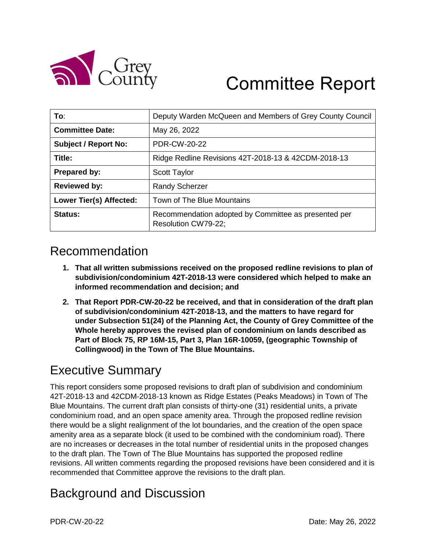

# Committee Report

| To:                            | Deputy Warden McQueen and Members of Grey County Council                    |
|--------------------------------|-----------------------------------------------------------------------------|
| <b>Committee Date:</b>         | May 26, 2022                                                                |
| <b>Subject / Report No:</b>    | <b>PDR-CW-20-22</b>                                                         |
| Title:                         | Ridge Redline Revisions 42T-2018-13 & 42CDM-2018-13                         |
| Prepared by:                   | <b>Scott Taylor</b>                                                         |
| <b>Reviewed by:</b>            | <b>Randy Scherzer</b>                                                       |
| <b>Lower Tier(s) Affected:</b> | Town of The Blue Mountains                                                  |
| Status:                        | Recommendation adopted by Committee as presented per<br>Resolution CW79-22; |

# Recommendation

- **1. That all written submissions received on the proposed redline revisions to plan of subdivision/condominium 42T-2018-13 were considered which helped to make an informed recommendation and decision; and**
- **2. That Report PDR-CW-20-22 be received, and that in consideration of the draft plan of subdivision/condominium 42T-2018-13, and the matters to have regard for under Subsection 51(24) of the Planning Act, the County of Grey Committee of the Whole hereby approves the revised plan of condominium on lands described as Part of Block 75, RP 16M-15, Part 3, Plan 16R-10059, (geographic Township of Collingwood) in the Town of The Blue Mountains.**

# Executive Summary

This report considers some proposed revisions to draft plan of subdivision and condominium 42T-2018-13 and 42CDM-2018-13 known as Ridge Estates (Peaks Meadows) in Town of The Blue Mountains. The current draft plan consists of thirty-one (31) residential units, a private condominium road, and an open space amenity area. Through the proposed redline revision there would be a slight realignment of the lot boundaries, and the creation of the open space amenity area as a separate block (it used to be combined with the condominium road). There are no increases or decreases in the total number of residential units in the proposed changes to the draft plan. The Town of The Blue Mountains has supported the proposed redline revisions. All written comments regarding the proposed revisions have been considered and it is recommended that Committee approve the revisions to the draft plan.

# Background and Discussion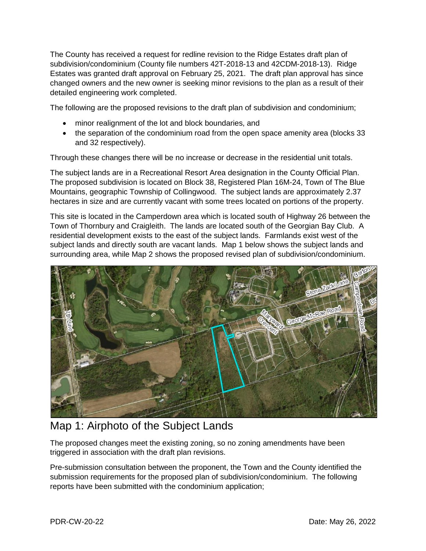The County has received a request for redline revision to the Ridge Estates draft plan of subdivision/condominium (County file numbers 42T-2018-13 and 42CDM-2018-13). Ridge Estates was granted draft approval on February 25, 2021. The draft plan approval has since changed owners and the new owner is seeking minor revisions to the plan as a result of their detailed engineering work completed.

The following are the proposed revisions to the draft plan of subdivision and condominium;

- minor realignment of the lot and block boundaries, and
- the separation of the condominium road from the open space amenity area (blocks 33 and 32 respectively).

Through these changes there will be no increase or decrease in the residential unit totals.

The subject lands are in a Recreational Resort Area designation in the County Official Plan. The proposed subdivision is located on Block 38, Registered Plan 16M-24, Town of The Blue Mountains, geographic Township of Collingwood. The subject lands are approximately 2.37 hectares in size and are currently vacant with some trees located on portions of the property.

This site is located in the Camperdown area which is located south of Highway 26 between the Town of Thornbury and Craigleith. The lands are located south of the Georgian Bay Club. A residential development exists to the east of the subject lands. Farmlands exist west of the subject lands and directly south are vacant lands. Map 1 below shows the subject lands and surrounding area, while Map 2 shows the proposed revised plan of subdivision/condominium.



### Map 1: Airphoto of the Subject Lands

The proposed changes meet the existing zoning, so no zoning amendments have been triggered in association with the draft plan revisions.

Pre-submission consultation between the proponent, the Town and the County identified the submission requirements for the proposed plan of subdivision/condominium. The following reports have been submitted with the condominium application;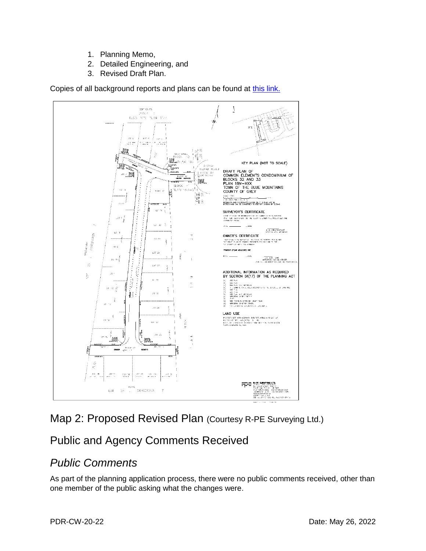- 1. Planning Memo,
- 2. Detailed Engineering, and
- 3. Revised Draft Plan.

Copies of all background reports and plans can be found at [this link.](https://www.grey.ca/planning-development/planning-applications)



### Map 2: Proposed Revised Plan (Courtesy R-PE Surveying Ltd.)

## Public and Agency Comments Received

### *Public Comments*

As part of the planning application process, there were no public comments received, other than one member of the public asking what the changes were.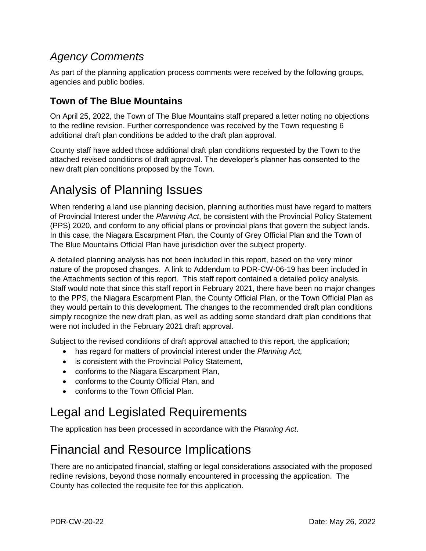## *Agency Comments*

As part of the planning application process comments were received by the following groups, agencies and public bodies.

### **Town of The Blue Mountains**

On April 25, 2022, the Town of The Blue Mountains staff prepared a letter noting no objections to the redline revision. Further correspondence was received by the Town requesting 6 additional draft plan conditions be added to the draft plan approval.

County staff have added those additional draft plan conditions requested by the Town to the attached revised conditions of draft approval. The developer's planner has consented to the new draft plan conditions proposed by the Town.

# Analysis of Planning Issues

When rendering a land use planning decision, planning authorities must have regard to matters of Provincial Interest under the *Planning Act*, be consistent with the Provincial Policy Statement (PPS) 2020, and conform to any official plans or provincial plans that govern the subject lands. In this case, the Niagara Escarpment Plan, the County of Grey Official Plan and the Town of The Blue Mountains Official Plan have jurisdiction over the subject property.

A detailed planning analysis has not been included in this report, based on the very minor nature of the proposed changes. A link to Addendum to PDR-CW-06-19 has been included in the Attachments section of this report. This staff report contained a detailed policy analysis. Staff would note that since this staff report in February 2021, there have been no major changes to the PPS, the Niagara Escarpment Plan, the County Official Plan, or the Town Official Plan as they would pertain to this development. The changes to the recommended draft plan conditions simply recognize the new draft plan, as well as adding some standard draft plan conditions that were not included in the February 2021 draft approval.

Subject to the revised conditions of draft approval attached to this report, the application;

- has regard for matters of provincial interest under the *Planning Act,*
- is consistent with the Provincial Policy Statement,
- conforms to the Niagara Escarpment Plan,
- conforms to the County Official Plan, and
- conforms to the Town Official Plan.

# Legal and Legislated Requirements

The application has been processed in accordance with the *Planning Act*.

# Financial and Resource Implications

There are no anticipated financial, staffing or legal considerations associated with the proposed redline revisions, beyond those normally encountered in processing the application. The County has collected the requisite fee for this application.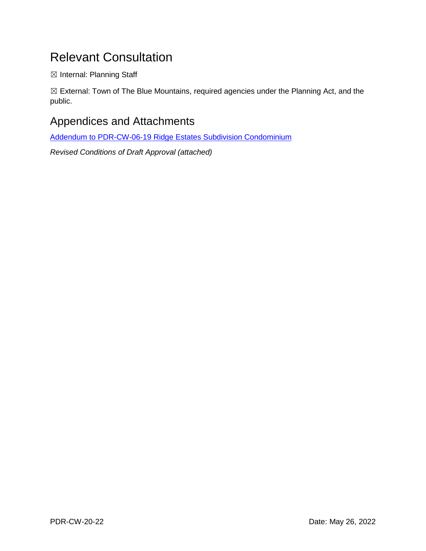# Relevant Consultation

☒ Internal: Planning Staff

☒ External: Town of The Blue Mountains, required agencies under the Planning Act, and the public.

### Appendices and Attachments

[Addendum to PDR-CW-06-19 Ridge Estates Subdivision Condominium](https://docs.grey.ca/share/public?nodeRef=workspace://SpacesStore/4d22513f-ab9d-437a-a6f7-a4e42313ef2b)

*Revised Conditions of Draft Approval (attached)*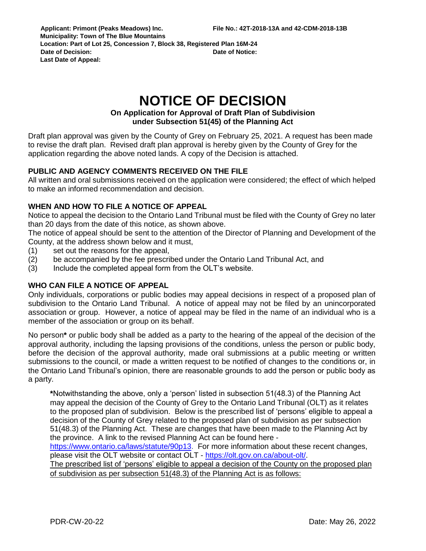# **NOTICE OF DECISION**

#### **On Application for Approval of Draft Plan of Subdivision under Subsection 51(45) of the Planning Act**

Draft plan approval was given by the County of Grey on February 25, 2021. A request has been made to revise the draft plan. Revised draft plan approval is hereby given by the County of Grey for the application regarding the above noted lands. A copy of the Decision is attached.

### **PUBLIC AND AGENCY COMMENTS RECEIVED ON THE FILE**

All written and oral submissions received on the application were considered; the effect of which helped to make an informed recommendation and decision.

### **WHEN AND HOW TO FILE A NOTICE OF APPEAL**

Notice to appeal the decision to the Ontario Land Tribunal must be filed with the County of Grey no later than 20 days from the date of this notice, as shown above.

The notice of appeal should be sent to the attention of the Director of Planning and Development of the County, at the address shown below and it must,

- (1) set out the reasons for the appeal,
- (2) be accompanied by the fee prescribed under the Ontario Land Tribunal Act, and
- (3) Include the completed appeal form from the OLT's website.

### **WHO CAN FILE A NOTICE OF APPEAL**

Only individuals, corporations or public bodies may appeal decisions in respect of a proposed plan of subdivision to the Ontario Land Tribunal. A notice of appeal may not be filed by an unincorporated association or group. However, a notice of appeal may be filed in the name of an individual who is a member of the association or group on its behalf.

No person**\*** or public body shall be added as a party to the hearing of the appeal of the decision of the approval authority, including the lapsing provisions of the conditions, unless the person or public body, before the decision of the approval authority, made oral submissions at a public meeting or written submissions to the council, or made a written request to be notified of changes to the conditions or, in the Ontario Land Tribunal's opinion, there are reasonable grounds to add the person or public body as a party.

**\***Notwithstanding the above, only a 'person' listed in subsection 51(48.3) of the Planning Act may appeal the decision of the County of Grey to the Ontario Land Tribunal (OLT) as it relates to the proposed plan of subdivision. Below is the prescribed list of 'persons' eligible to appeal a decision of the County of Grey related to the proposed plan of subdivision as per subsection 51(48.3) of the Planning Act. These are changes that have been made to the Planning Act by the province. A link to the revised Planning Act can be found here -

[https://www.ontario.ca/laws/statute/90p13.](https://www.ontario.ca/laws/statute/90p13) For more information about these recent changes, please visit the OLT website or contact OLT - [https://olt.gov.on.ca/about-olt/.](https://olt.gov.on.ca/about-olt/)

The prescribed list of 'persons' eligible to appeal a decision of the County on the proposed plan of subdivision as per subsection 51(48.3) of the Planning Act is as follows: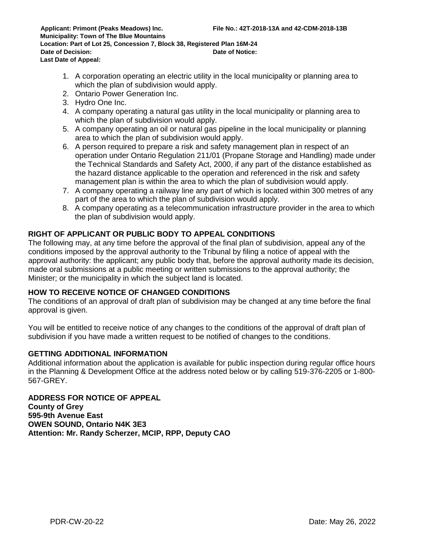- 1. A corporation operating an electric utility in the local municipality or planning area to which the plan of subdivision would apply.
- 2. Ontario Power Generation Inc.
- 3. Hydro One Inc.
- 4. A company operating a natural gas utility in the local municipality or planning area to which the plan of subdivision would apply.
- 5. A company operating an oil or natural gas pipeline in the local municipality or planning area to which the plan of subdivision would apply.
- 6. A person required to prepare a risk and safety management plan in respect of an operation under Ontario Regulation 211/01 (Propane Storage and Handling) made under the Technical Standards and Safety Act, 2000, if any part of the distance established as the hazard distance applicable to the operation and referenced in the risk and safety management plan is within the area to which the plan of subdivision would apply.
- 7. A company operating a railway line any part of which is located within 300 metres of any part of the area to which the plan of subdivision would apply.
- 8. A company operating as a telecommunication infrastructure provider in the area to which the plan of subdivision would apply.

#### **RIGHT OF APPLICANT OR PUBLIC BODY TO APPEAL CONDITIONS**

The following may, at any time before the approval of the final plan of subdivision, appeal any of the conditions imposed by the approval authority to the Tribunal by filing a notice of appeal with the approval authority: the applicant; any public body that, before the approval authority made its decision, made oral submissions at a public meeting or written submissions to the approval authority; the Minister; or the municipality in which the subject land is located.

#### **HOW TO RECEIVE NOTICE OF CHANGED CONDITIONS**

The conditions of an approval of draft plan of subdivision may be changed at any time before the final approval is given.

You will be entitled to receive notice of any changes to the conditions of the approval of draft plan of subdivision if you have made a written request to be notified of changes to the conditions.

#### **GETTING ADDITIONAL INFORMATION**

Additional information about the application is available for public inspection during regular office hours in the Planning & Development Office at the address noted below or by calling 519-376-2205 or 1-800- 567-GREY.

**ADDRESS FOR NOTICE OF APPEAL County of Grey 595-9th Avenue East OWEN SOUND, Ontario N4K 3E3 Attention: Mr. Randy Scherzer, MCIP, RPP, Deputy CAO**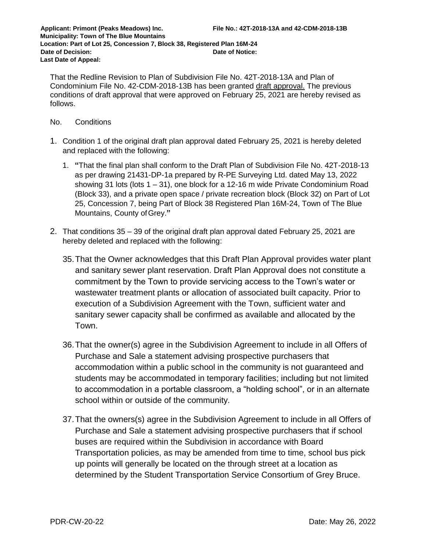That the Redline Revision to Plan of Subdivision File No. 42T-2018-13A and Plan of Condominium File No. 42-CDM-2018-13B has been granted draft approval. The previous conditions of draft approval that were approved on February 25, 2021 are hereby revised as follows.

#### No. Conditions

- 1. Condition 1 of the original draft plan approval dated February 25, 2021 is hereby deleted and replaced with the following:
	- 1. **"**That the final plan shall conform to the Draft Plan of Subdivision File No. 42T-2018-13 as per drawing 21431-DP-1a prepared by R-PE Surveying Ltd. dated May 13, 2022 showing 31 lots (lots 1 – 31), one block for a 12-16 m wide Private Condominium Road (Block 33), and a private open space / private recreation block (Block 32) on Part of Lot 25, Concession 7, being Part of Block 38 Registered Plan 16M-24, Town of The Blue Mountains, County ofGrey.**"**
- 2. That conditions 35 39 of the original draft plan approval dated February 25, 2021 are hereby deleted and replaced with the following:
	- 35.That the Owner acknowledges that this Draft Plan Approval provides water plant and sanitary sewer plant reservation. Draft Plan Approval does not constitute a commitment by the Town to provide servicing access to the Town's water or wastewater treatment plants or allocation of associated built capacity. Prior to execution of a Subdivision Agreement with the Town, sufficient water and sanitary sewer capacity shall be confirmed as available and allocated by the Town.
	- 36.That the owner(s) agree in the Subdivision Agreement to include in all Offers of Purchase and Sale a statement advising prospective purchasers that accommodation within a public school in the community is not guaranteed and students may be accommodated in temporary facilities; including but not limited to accommodation in a portable classroom, a "holding school", or in an alternate school within or outside of the community.
	- 37.That the owners(s) agree in the Subdivision Agreement to include in all Offers of Purchase and Sale a statement advising prospective purchasers that if school buses are required within the Subdivision in accordance with Board Transportation policies, as may be amended from time to time, school bus pick up points will generally be located on the through street at a location as determined by the Student Transportation Service Consortium of Grey Bruce.